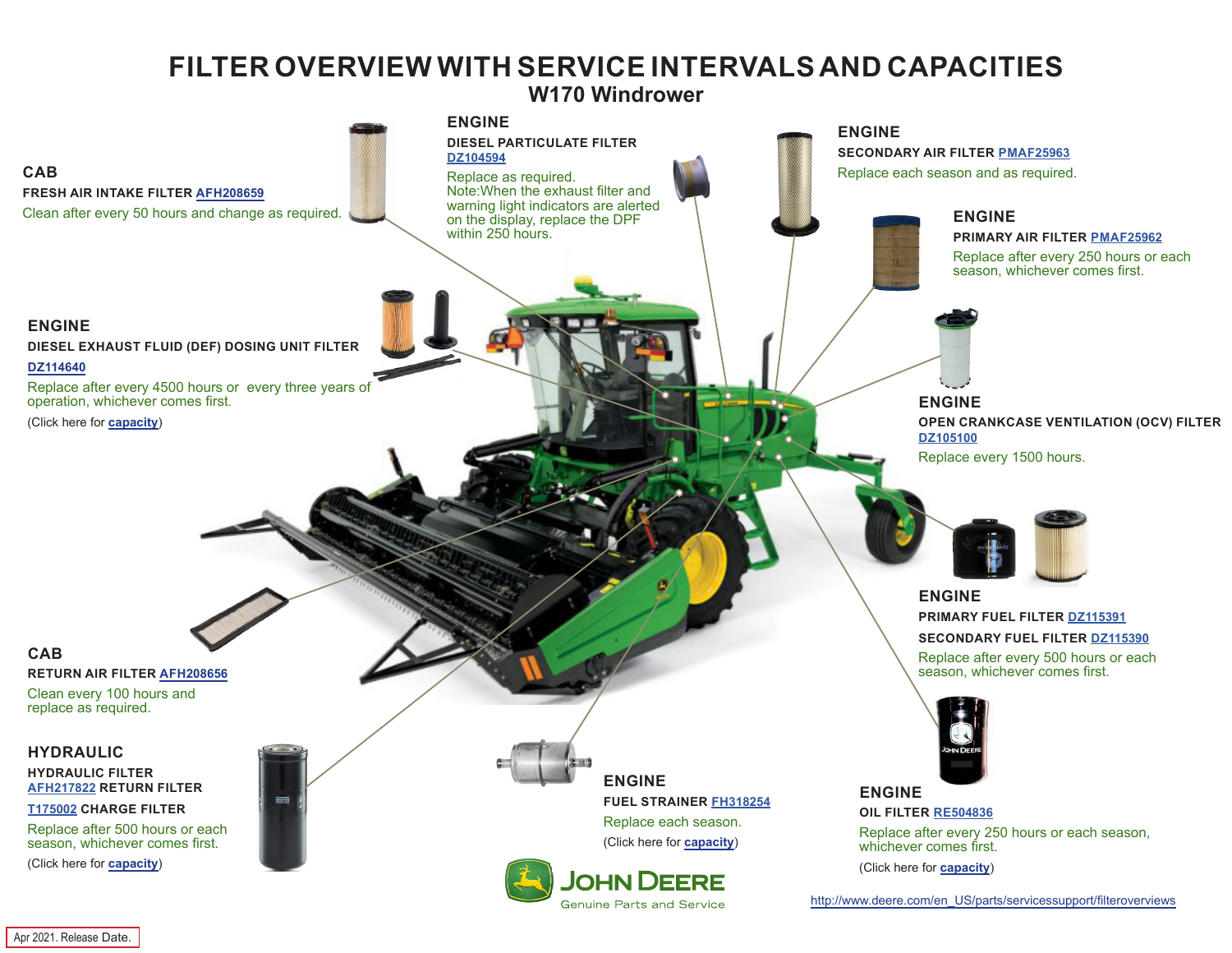## **FILTER OVERVIEW WITH SERVICE INTERVALS AND CAPACITIES**

**W170 Windrower**

<span id="page-0-0"></span>

Apr 2021. Release Date.

**CAB**

**CAB**